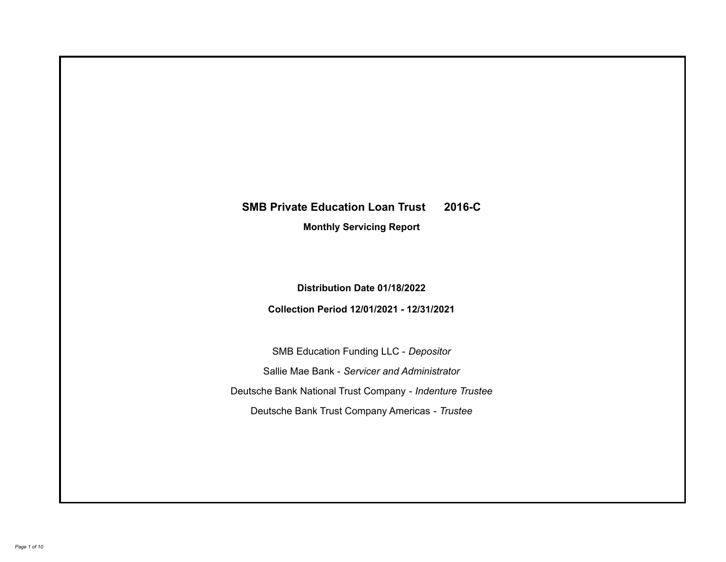# **SMB Private Education Loan Trust 2016-C**

**Monthly Servicing Report**

**Distribution Date 01/18/2022**

**Collection Period 12/01/2021 - 12/31/2021**

SMB Education Funding LLC - *Depositor* Sallie Mae Bank - *Servicer and Administrator* Deutsche Bank National Trust Company - *Indenture Trustee* Deutsche Bank Trust Company Americas - *Trustee*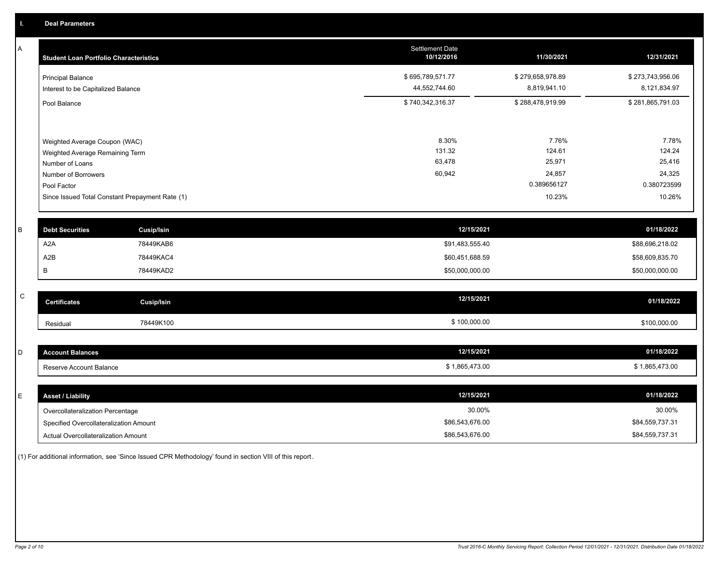A

| А<br><b>Student Loan Portfolio Characteristics</b> |                                                 | <b>Settlement Date</b><br>10/12/2016 | 11/30/2021       | 12/31/2021       |
|----------------------------------------------------|-------------------------------------------------|--------------------------------------|------------------|------------------|
| <b>Principal Balance</b>                           |                                                 | \$695,789,571.77                     | \$279,658,978.89 | \$273,743,956.06 |
| Interest to be Capitalized Balance                 |                                                 | 44,552,744.60                        | 8,819,941.10     | 8,121,834.97     |
| Pool Balance                                       |                                                 | \$740,342,316.37                     | \$288,478,919.99 | \$281,865,791.03 |
| Weighted Average Coupon (WAC)                      |                                                 | 8.30%                                | 7.76%            | 7.78%            |
| Weighted Average Remaining Term                    |                                                 | 131.32                               | 124.61           | 124.24           |
| Number of Loans                                    |                                                 | 63,478                               | 25,971           | 25,416           |
| Number of Borrowers                                |                                                 | 60,942                               | 24,857           | 24,325           |
| Pool Factor                                        |                                                 |                                      | 0.389656127      | 0.380723599      |
|                                                    | Since Issued Total Constant Prepayment Rate (1) |                                      | 10.23%           | 10.26%           |
| B<br><b>Debt Securities</b>                        | <b>Cusip/Isin</b>                               | 12/15/2021                           |                  | 01/18/2022       |
| A <sub>2</sub> A                                   | 78449KAB6                                       | \$91,483,555.40                      |                  | \$88,696,218.02  |
| A2B                                                | 78449KAC4                                       | \$60,451,688.59                      |                  | \$58,609,835.70  |
| B                                                  | 78449KAD2                                       | \$50,000,000.00                      |                  | \$50,000,000.00  |

| $\sim$<br>◡ | <b>Certificates</b> | Cusip/Isin | 12/15/2021   | 01/18/2022   |
|-------------|---------------------|------------|--------------|--------------|
|             | Residual            | 78449K100  | \$100,000.00 | \$100,000.00 |

| <b>Account Balances</b> | 12/15/2021     | 01/18/2022     |
|-------------------------|----------------|----------------|
| Reserve Account Balance | \$1,865,473.00 | \$1,865,473.00 |

| <b>Asset / Liability</b>               | 12/15/2021      | 01/18/2022      |
|----------------------------------------|-----------------|-----------------|
| Overcollateralization Percentage       | 30.00%          | 30.00%          |
| Specified Overcollateralization Amount | \$86,543,676.00 | \$84,559,737.31 |
| Actual Overcollateralization Amount    | \$86,543,676.00 | \$84,559,737.31 |

(1) For additional information, see 'Since Issued CPR Methodology' found in section VIII of this report .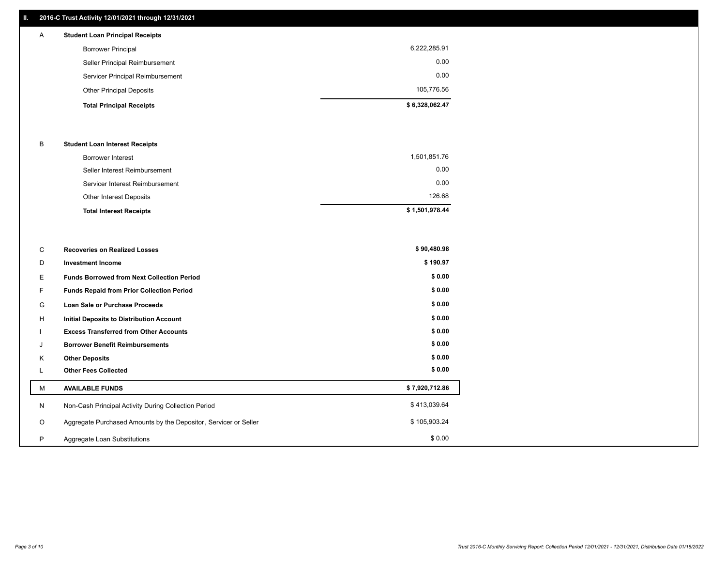## **II. 2016-C Trust Activity 12/01/2021 through 12/31/2021**

|   | <b>Total Principal Receipts</b>        | \$6,328,062.47 |
|---|----------------------------------------|----------------|
|   | <b>Other Principal Deposits</b>        | 105,776.56     |
|   | Servicer Principal Reimbursement       | 0.00           |
|   | Seller Principal Reimbursement         | 0.00           |
|   | <b>Borrower Principal</b>              | 6,222,285.91   |
| А | <b>Student Loan Principal Receipts</b> |                |

#### B **Student Loan Interest Receipts**

| <b>Total Interest Receipts</b>  | \$1,501,978.44 |
|---------------------------------|----------------|
| Other Interest Deposits         | 126.68         |
| Servicer Interest Reimbursement | 0.00           |
| Seller Interest Reimbursement   | 0.00           |
| <b>Borrower Interest</b>        | 1,501,851.76   |

| C       | <b>Recoveries on Realized Losses</b>                             | \$90,480.98    |
|---------|------------------------------------------------------------------|----------------|
| D       | <b>Investment Income</b>                                         | \$190.97       |
| Е       | <b>Funds Borrowed from Next Collection Period</b>                | \$0.00         |
| F.      | <b>Funds Repaid from Prior Collection Period</b>                 | \$0.00         |
| G       | Loan Sale or Purchase Proceeds                                   | \$0.00         |
| H       | Initial Deposits to Distribution Account                         | \$0.00         |
|         | <b>Excess Transferred from Other Accounts</b>                    | \$0.00         |
|         | <b>Borrower Benefit Reimbursements</b>                           | \$0.00         |
| Κ       | <b>Other Deposits</b>                                            | \$0.00         |
| ┗       | <b>Other Fees Collected</b>                                      | \$0.00         |
| М       | <b>AVAILABLE FUNDS</b>                                           | \$7,920,712.86 |
| N       | Non-Cash Principal Activity During Collection Period             | \$413,039.64   |
| $\circ$ | Aggregate Purchased Amounts by the Depositor, Servicer or Seller | \$105,903.24   |
| P       | Aggregate Loan Substitutions                                     | \$0.00         |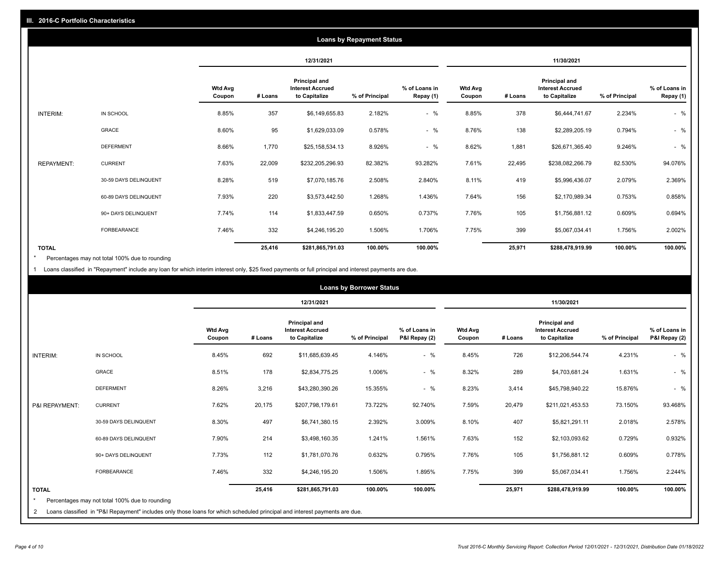|                   | <b>Loans by Repayment Status</b> |                          |            |                                                           |                |                            |                          |         |                                                           |                |                            |
|-------------------|----------------------------------|--------------------------|------------|-----------------------------------------------------------|----------------|----------------------------|--------------------------|---------|-----------------------------------------------------------|----------------|----------------------------|
|                   |                                  |                          | 12/31/2021 |                                                           |                |                            | 11/30/2021               |         |                                                           |                |                            |
|                   |                                  | <b>Wtd Avg</b><br>Coupon | # Loans    | Principal and<br><b>Interest Accrued</b><br>to Capitalize | % of Principal | % of Loans in<br>Repay (1) | <b>Wtd Avg</b><br>Coupon | # Loans | Principal and<br><b>Interest Accrued</b><br>to Capitalize | % of Principal | % of Loans in<br>Repay (1) |
| INTERIM:          | IN SCHOOL                        | 8.85%                    | 357        | \$6,149,655.83                                            | 2.182%         | $-$ %                      | 8.85%                    | 378     | \$6,444,741.67                                            | 2.234%         | $-$ %                      |
|                   | GRACE                            | 8.60%                    | 95         | \$1,629,033.09                                            | 0.578%         | $-$ %                      | 8.76%                    | 138     | \$2,289,205.19                                            | 0.794%         | $-$ %                      |
|                   | <b>DEFERMENT</b>                 | 8.66%                    | 1,770      | \$25,158,534.13                                           | 8.926%         | $-$ %                      | 8.62%                    | 1,881   | \$26,671,365.40                                           | 9.246%         | $-$ %                      |
| <b>REPAYMENT:</b> | <b>CURRENT</b>                   | 7.63%                    | 22,009     | \$232,205,296.93                                          | 82.382%        | 93.282%                    | 7.61%                    | 22,495  | \$238,082,266.79                                          | 82.530%        | 94.076%                    |
|                   | 30-59 DAYS DELINQUENT            | 8.28%                    | 519        | \$7,070,185.76                                            | 2.508%         | 2.840%                     | 8.11%                    | 419     | \$5,996,436.07                                            | 2.079%         | 2.369%                     |
|                   | 60-89 DAYS DELINQUENT            | 7.93%                    | 220        | \$3,573,442.50                                            | 1.268%         | 1.436%                     | 7.64%                    | 156     | \$2,170,989.34                                            | 0.753%         | 0.858%                     |
|                   | 90+ DAYS DELINQUENT              | 7.74%                    | 114        | \$1,833,447.59                                            | 0.650%         | 0.737%                     | 7.76%                    | 105     | \$1,756,881.12                                            | 0.609%         | 0.694%                     |
|                   | <b>FORBEARANCE</b>               | 7.46%                    | 332        | \$4,246,195.20                                            | 1.506%         | 1.706%                     | 7.75%                    | 399     | \$5,067,034.41                                            | 1.756%         | 2.002%                     |
| <b>TOTAL</b>      |                                  |                          | 25,416     | \$281,865,791.03                                          | 100.00%        | 100.00%                    |                          | 25,971  | \$288,478,919.99                                          | 100.00%        | 100.00%                    |

Percentages may not total 100% due to rounding \*

1 Loans classified in "Repayment" include any loan for which interim interest only, \$25 fixed payments or full principal and interest payments are due.

|                              | <b>Loans by Borrower Status</b>                                                                                                                                              |                          |         |                                                           |                |                                |                          |         |                                                                  |                |                                |
|------------------------------|------------------------------------------------------------------------------------------------------------------------------------------------------------------------------|--------------------------|---------|-----------------------------------------------------------|----------------|--------------------------------|--------------------------|---------|------------------------------------------------------------------|----------------|--------------------------------|
|                              |                                                                                                                                                                              |                          |         | 12/31/2021                                                |                |                                | 11/30/2021               |         |                                                                  |                |                                |
|                              |                                                                                                                                                                              | <b>Wtd Avg</b><br>Coupon | # Loans | Principal and<br><b>Interest Accrued</b><br>to Capitalize | % of Principal | % of Loans in<br>P&I Repay (2) | <b>Wtd Avg</b><br>Coupon | # Loans | <b>Principal and</b><br><b>Interest Accrued</b><br>to Capitalize | % of Principal | % of Loans in<br>P&I Repay (2) |
| <b>INTERIM:</b>              | IN SCHOOL                                                                                                                                                                    | 8.45%                    | 692     | \$11,685,639.45                                           | 4.146%         | $-$ %                          | 8.45%                    | 726     | \$12,206,544.74                                                  | 4.231%         | $-$ %                          |
|                              | <b>GRACE</b>                                                                                                                                                                 | 8.51%                    | 178     | \$2,834,775.25                                            | 1.006%         | $-$ %                          | 8.32%                    | 289     | \$4,703,681.24                                                   | 1.631%         | $-$ %                          |
|                              | <b>DEFERMENT</b>                                                                                                                                                             | 8.26%                    | 3,216   | \$43,280,390.26                                           | 15.355%        | $-$ %                          | 8.23%                    | 3,414   | \$45,798,940.22                                                  | 15.876%        | $-$ %                          |
| P&I REPAYMENT:               | <b>CURRENT</b>                                                                                                                                                               | 7.62%                    | 20,175  | \$207,798,179.61                                          | 73.722%        | 92.740%                        | 7.59%                    | 20,479  | \$211,021,453.53                                                 | 73.150%        | 93.468%                        |
|                              | 30-59 DAYS DELINQUENT                                                                                                                                                        | 8.30%                    | 497     | \$6,741,380.15                                            | 2.392%         | 3.009%                         | 8.10%                    | 407     | \$5,821,291.11                                                   | 2.018%         | 2.578%                         |
|                              | 60-89 DAYS DELINQUENT                                                                                                                                                        | 7.90%                    | 214     | \$3,498,160.35                                            | 1.241%         | 1.561%                         | 7.63%                    | 152     | \$2,103,093.62                                                   | 0.729%         | 0.932%                         |
|                              | 90+ DAYS DELINQUENT                                                                                                                                                          | 7.73%                    | 112     | \$1,781,070.76                                            | 0.632%         | 0.795%                         | 7.76%                    | 105     | \$1,756,881.12                                                   | 0.609%         | 0.778%                         |
|                              | <b>FORBEARANCE</b>                                                                                                                                                           | 7.46%                    | 332     | \$4,246,195.20                                            | 1.506%         | 1.895%                         | 7.75%                    | 399     | \$5,067,034.41                                                   | 1.756%         | 2.244%                         |
| <b>TOTAL</b><br>$\star$<br>2 | Percentages may not total 100% due to rounding<br>Loans classified in "P&I Repayment" includes only those loans for which scheduled principal and interest payments are due. |                          | 25,416  | \$281,865,791.03                                          | 100.00%        | 100.00%                        |                          | 25,971  | \$288,478,919.99                                                 | 100.00%        | 100.00%                        |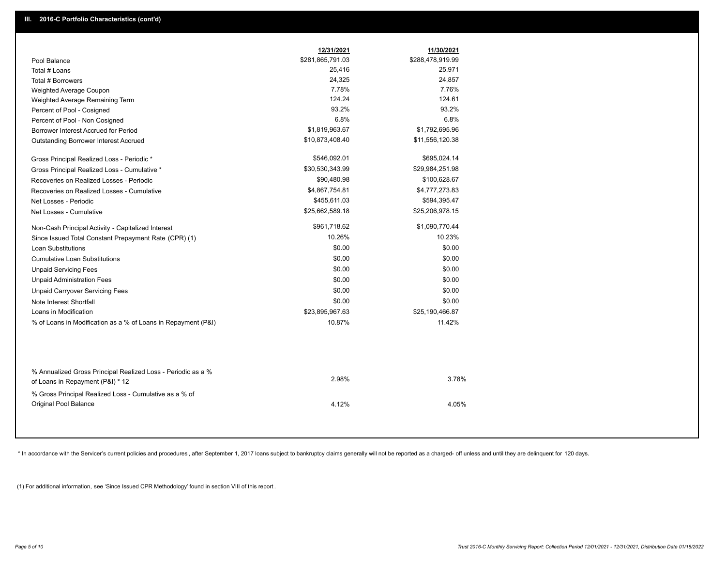|                                                                                 | 12/31/2021       | 11/30/2021       |
|---------------------------------------------------------------------------------|------------------|------------------|
| Pool Balance                                                                    | \$281,865,791.03 | \$288,478,919.99 |
| Total # Loans                                                                   | 25,416           | 25,971           |
| Total # Borrowers                                                               | 24,325           | 24,857           |
| Weighted Average Coupon                                                         | 7.78%            | 7.76%            |
| Weighted Average Remaining Term                                                 | 124.24           | 124.61           |
| Percent of Pool - Cosigned                                                      | 93.2%            | 93.2%            |
| Percent of Pool - Non Cosigned                                                  | 6.8%             | 6.8%             |
| Borrower Interest Accrued for Period                                            | \$1,819,963.67   | \$1,792,695.96   |
| Outstanding Borrower Interest Accrued                                           | \$10,873,408.40  | \$11,556,120.38  |
| Gross Principal Realized Loss - Periodic *                                      | \$546,092.01     | \$695,024.14     |
| Gross Principal Realized Loss - Cumulative *                                    | \$30,530,343.99  | \$29,984,251.98  |
| Recoveries on Realized Losses - Periodic                                        | \$90,480.98      | \$100,628.67     |
| Recoveries on Realized Losses - Cumulative                                      | \$4,867,754.81   | \$4,777,273.83   |
| Net Losses - Periodic                                                           | \$455,611.03     | \$594,395.47     |
| Net Losses - Cumulative                                                         | \$25,662,589.18  | \$25,206,978.15  |
| Non-Cash Principal Activity - Capitalized Interest                              | \$961,718.62     | \$1,090,770.44   |
| Since Issued Total Constant Prepayment Rate (CPR) (1)                           | 10.26%           | 10.23%           |
| <b>Loan Substitutions</b>                                                       | \$0.00           | \$0.00           |
| <b>Cumulative Loan Substitutions</b>                                            | \$0.00           | \$0.00           |
| <b>Unpaid Servicing Fees</b>                                                    | \$0.00           | \$0.00           |
| <b>Unpaid Administration Fees</b>                                               | \$0.00           | \$0.00           |
| <b>Unpaid Carryover Servicing Fees</b>                                          | \$0.00           | \$0.00           |
| Note Interest Shortfall                                                         | \$0.00           | \$0.00           |
| Loans in Modification                                                           | \$23,895,967.63  | \$25,190,466.87  |
| % of Loans in Modification as a % of Loans in Repayment (P&I)                   | 10.87%           | 11.42%           |
| % Annualized Gross Principal Realized Loss - Periodic as a %                    |                  |                  |
| of Loans in Repayment (P&I) * 12                                                | 2.98%            | 3.78%            |
| % Gross Principal Realized Loss - Cumulative as a % of<br>Original Pool Balance | 4.12%            | 4.05%            |

\* In accordance with the Servicer's current policies and procedures, after September 1, 2017 loans subject to bankruptcy claims generally will not be reported as a charged- off unless and until they are delinquent for 120

(1) For additional information, see 'Since Issued CPR Methodology' found in section VIII of this report .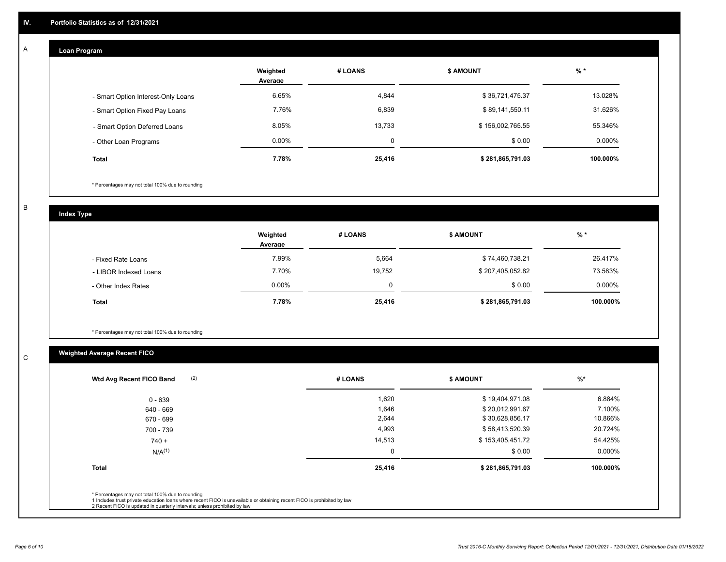#### **Loan Program**  A

|                                    | Weighted<br>Average | # LOANS | <b>\$ AMOUNT</b> | $%$ *    |
|------------------------------------|---------------------|---------|------------------|----------|
| - Smart Option Interest-Only Loans | 6.65%               | 4,844   | \$36,721,475.37  | 13.028%  |
| - Smart Option Fixed Pay Loans     | 7.76%               | 6,839   | \$89,141,550.11  | 31.626%  |
| - Smart Option Deferred Loans      | 8.05%               | 13,733  | \$156,002,765.55 | 55.346%  |
| - Other Loan Programs              | $0.00\%$            | 0       | \$0.00           | 0.000%   |
| <b>Total</b>                       | 7.78%               | 25,416  | \$281,865,791.03 | 100.000% |

\* Percentages may not total 100% due to rounding

B

C

**Index Type**

|                       | Weighted<br>Average | # LOANS  | <b>S AMOUNT</b>  | $%$ *     |
|-----------------------|---------------------|----------|------------------|-----------|
| - Fixed Rate Loans    | 7.99%               | 5,664    | \$74,460,738.21  | 26.417%   |
| - LIBOR Indexed Loans | 7.70%               | 19,752   | \$207,405,052.82 | 73.583%   |
| - Other Index Rates   | $0.00\%$            | $\Omega$ | \$0.00           | $0.000\%$ |
| <b>Total</b>          | 7.78%               | 25,416   | \$281,865,791.03 | 100.000%  |

\* Percentages may not total 100% due to rounding

# **Weighted Average Recent FICO**

| (2)<br>Wtd Avg Recent FICO Band                                                                                                                                                                                                                          | # LOANS | <b>S AMOUNT</b>  | $%$ *    |
|----------------------------------------------------------------------------------------------------------------------------------------------------------------------------------------------------------------------------------------------------------|---------|------------------|----------|
| 0 - 639                                                                                                                                                                                                                                                  | 1,620   | \$19,404,971.08  | 6.884%   |
| 640 - 669                                                                                                                                                                                                                                                | 1,646   | \$20,012,991.67  | 7.100%   |
| 670 - 699                                                                                                                                                                                                                                                | 2,644   | \$30,628,856.17  | 10.866%  |
| 700 - 739                                                                                                                                                                                                                                                | 4,993   | \$58,413,520.39  | 20.724%  |
| $740 +$                                                                                                                                                                                                                                                  | 14,513  | \$153,405,451.72 | 54.425%  |
| N/A <sup>(1)</sup>                                                                                                                                                                                                                                       |         | \$0.00           | 0.000%   |
| <b>Total</b>                                                                                                                                                                                                                                             | 25,416  | \$281,865,791.03 | 100.000% |
| * Percentages may not total 100% due to rounding<br>1 Includes trust private education loans where recent FICO is unavailable or obtaining recent FICO is prohibited by law<br>2 Recent FICO is updated in quarterly intervals; unless prohibited by law |         |                  |          |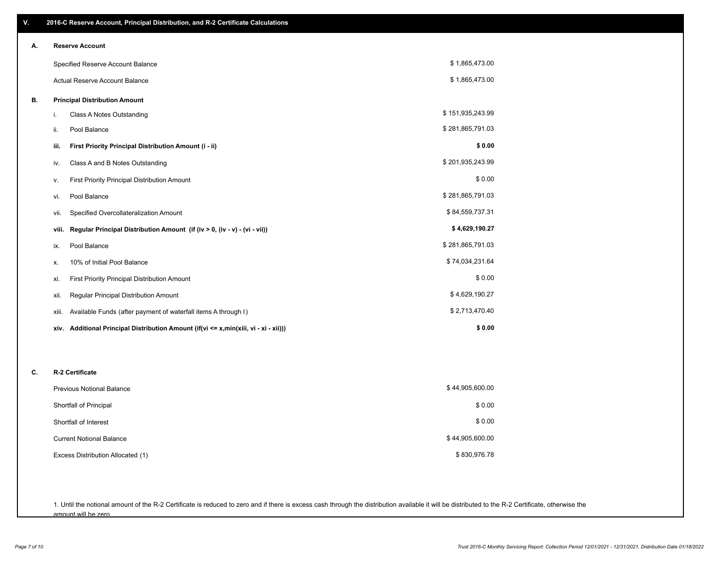| ٧. | 2016-C Reserve Account, Principal Distribution, and R-2 Certificate Calculations     |                  |
|----|--------------------------------------------------------------------------------------|------------------|
| А. | <b>Reserve Account</b>                                                               |                  |
|    | Specified Reserve Account Balance                                                    | \$1,865,473.00   |
|    | Actual Reserve Account Balance                                                       | \$1,865,473.00   |
| В. | <b>Principal Distribution Amount</b>                                                 |                  |
|    | i.<br>Class A Notes Outstanding                                                      | \$151,935,243.99 |
|    | Pool Balance<br>ii.                                                                  | \$281,865,791.03 |
|    | First Priority Principal Distribution Amount (i - ii)<br>iii.                        | \$0.00           |
|    | Class A and B Notes Outstanding<br>iv.                                               | \$201,935,243.99 |
|    | First Priority Principal Distribution Amount<br>٧.                                   | \$0.00           |
|    | Pool Balance<br>vi.                                                                  | \$281,865,791.03 |
|    | Specified Overcollateralization Amount<br>vii.                                       | \$84,559,737.31  |
|    | Regular Principal Distribution Amount (if (iv > 0, (iv - v) - (vi - vii))<br>viii.   | \$4,629,190.27   |
|    | Pool Balance<br>ix.                                                                  | \$281,865,791.03 |
|    | 10% of Initial Pool Balance<br>х.                                                    | \$74,034,231.64  |
|    | <b>First Priority Principal Distribution Amount</b><br>xi.                           | \$0.00           |
|    | xii.<br>Regular Principal Distribution Amount                                        | \$4,629,190.27   |
|    | Available Funds (after payment of waterfall items A through I)<br>xiii.              | \$2,713,470.40   |
|    | xiv. Additional Principal Distribution Amount (if(vi <= x,min(xiii, vi - xi - xii))) | \$0.00           |
|    |                                                                                      |                  |
| C. | R-2 Certificate                                                                      |                  |
|    | Previous Notional Balance                                                            | \$44,905,600.00  |
|    |                                                                                      | \$0.00           |
|    | Shortfall of Principal<br>Shortfall of Interest                                      | \$0.00           |
|    |                                                                                      |                  |
|    | <b>Current Notional Balance</b>                                                      | \$44,905,600.00  |
|    | Excess Distribution Allocated (1)                                                    | \$830,976.78     |
|    |                                                                                      |                  |

1. Until the notional amount of the R-2 Certificate is reduced to zero and if there is excess cash through the distribution available it will be distributed to the R-2 Certificate, otherwise the amount will be zero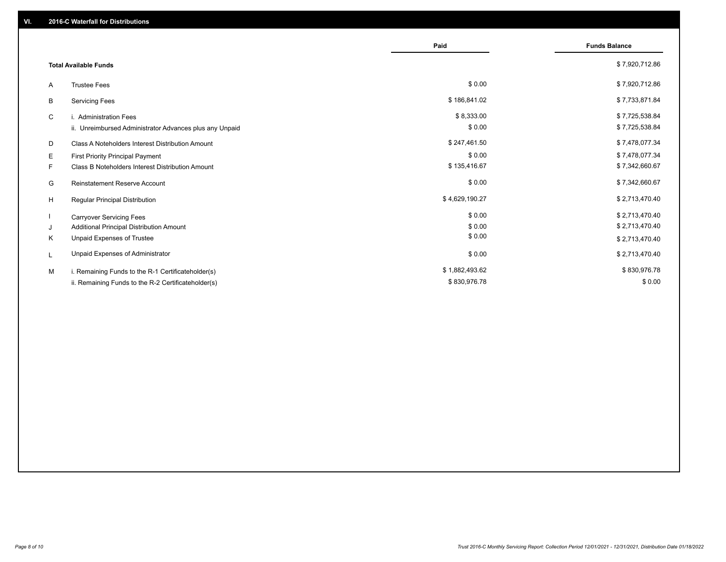|                                                         | Paid           | <b>Funds Balance</b> |
|---------------------------------------------------------|----------------|----------------------|
| <b>Total Available Funds</b>                            |                | \$7,920,712.86       |
| <b>Trustee Fees</b><br>A                                | \$0.00         | \$7,920,712.86       |
| <b>Servicing Fees</b><br>B                              | \$186,841.02   | \$7,733,871.84       |
| C<br>i. Administration Fees                             | \$8,333.00     | \$7,725,538.84       |
| ii. Unreimbursed Administrator Advances plus any Unpaid | \$0.00         | \$7,725,538.84       |
| Class A Noteholders Interest Distribution Amount<br>D   | \$247,461.50   | \$7,478,077.34       |
| Е<br>First Priority Principal Payment                   | \$0.00         | \$7,478,077.34       |
| F.<br>Class B Noteholders Interest Distribution Amount  | \$135,416.67   | \$7,342,660.67       |
| G<br><b>Reinstatement Reserve Account</b>               | \$0.00         | \$7,342,660.67       |
| H<br>Regular Principal Distribution                     | \$4,629,190.27 | \$2,713,470.40       |
| <b>Carryover Servicing Fees</b>                         | \$0.00         | \$2,713,470.40       |
| Additional Principal Distribution Amount<br>J           | \$0.00         | \$2,713,470.40       |
| Unpaid Expenses of Trustee<br>Κ                         | \$0.00         | \$2,713,470.40       |
| Unpaid Expenses of Administrator<br>L                   | \$0.00         | \$2,713,470.40       |
| M<br>i. Remaining Funds to the R-1 Certificateholder(s) | \$1,882,493.62 | \$830,976.78         |
| ii. Remaining Funds to the R-2 Certificateholder(s)     | \$830,976.78   | \$0.00               |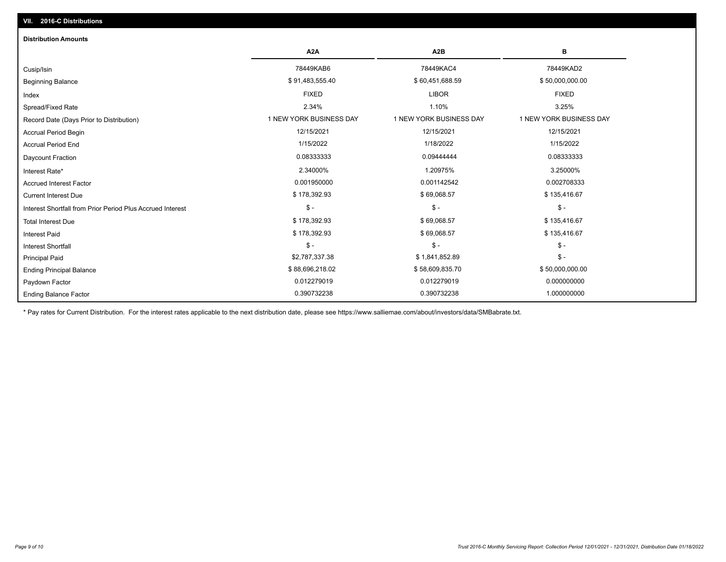# Ending Balance Factor Paydown Factor 0.012279019 0.012279019 0.000000000 Ending Principal Balance \$58,000,000.00 \$88,696,218.02 \$68,696,218.02 \$58,609,835.70 \$58,609,835.70 Principal Paid \$2,787,337.38 \$ 1,841,852.89 \$ - \$ - \$ - \$ - Interest Shortfall \$ 178,392.93 \$ 69,068.57 \$ 135,416.67 Interest Paid Total Interest Due \$ 178,392.93 \$ 69,068.57 \$ 135,416.67 \$ - \$ - \$ - Interest Shortfall from Prior Period Plus Accrued Interest  $\text{Current Interest Due}$  \$ 178,392.93  $\text{$ 69,068.57}$$  \$ 135,416.67 Accrued Interest Factor **0.002708333** 0.001950000 0.001142542 0.001142542 0.002708333 Interest Rate\* 2.34000% 1.20975% 3.25000% Daycount Fraction 0.08333333 0.09444444 0.08333333 Accrual Period End 1/15/2022 1/18/2022 1/15/2022 Accrual Period Begin 12/15/2021 12/15/2021 12/15/2021 Record Date (Days Prior to Distribution) **1 NEW YORK BUSINESS DAY** 1 NEW YORK BUSINESS DAY 1 NEW YORK BUSINESS DAY Spread/Fixed Rate 2.34% 1.10% 3.25% Index FIXED LIBOR FIXED Beginning Balance \$ 50,000,000.00 \$ \$91,483,555.40 \$ \$91,483,555.40 \$ \$60,451,688.59 \$ \$50,000,000.00 \$ \$50,000,000 Cusip/Isin 78449KAB6 78449KAC4 78449KAD2 **A2A A2B B** 0.390732238 0.390732238 1.000000000 **Distribution Amounts**

\* Pay rates for Current Distribution. For the interest rates applicable to the next distribution date, please see https://www.salliemae.com/about/investors/data/SMBabrate.txt.

**VII. 2016-C Distributions**